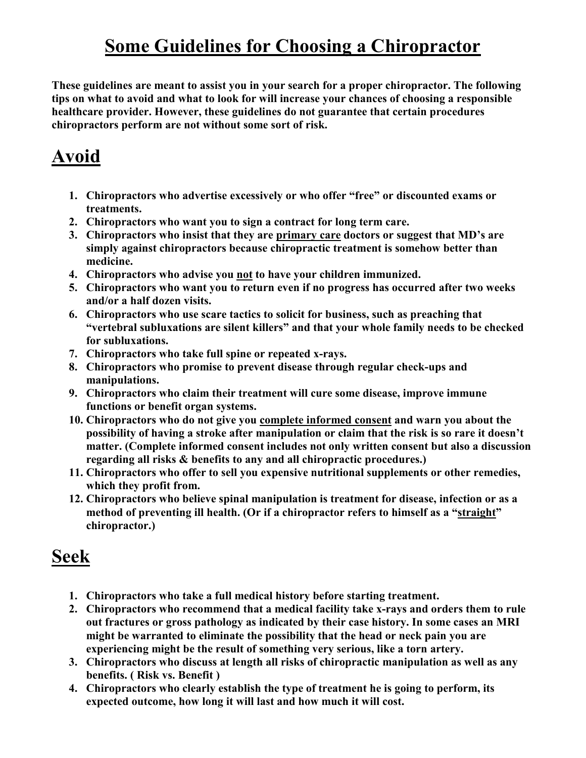## Some Guidelines for Choosing a Chiropractor

These guidelines are meant to assist you in your search for a proper chiropractor. The following tips on what to avoid and what to look for will increase your chances of choosing a responsible healthcare provider. However, these guidelines do not guarantee that certain procedures chiropractors perform are not without some sort of risk.

## Avoid

- 1. Chiropractors who advertise excessively or who offer "free" or discounted exams or treatments.
- 2. Chiropractors who want you to sign a contract for long term care.
- 3. Chiropractors who insist that they are primary care doctors or suggest that MD's are simply against chiropractors because chiropractic treatment is somehow better than medicine.
- 4. Chiropractors who advise you not to have your children immunized.
- 5. Chiropractors who want you to return even if no progress has occurred after two weeks and/or a half dozen visits.
- 6. Chiropractors who use scare tactics to solicit for business, such as preaching that "vertebral subluxations are silent killers" and that your whole family needs to be checked for subluxations.
- 7. Chiropractors who take full spine or repeated x-rays.
- 8. Chiropractors who promise to prevent disease through regular check-ups and manipulations.
- 9. Chiropractors who claim their treatment will cure some disease, improve immune functions or benefit organ systems.
- 10. Chiropractors who do not give you complete informed consent and warn you about the possibility of having a stroke after manipulation or claim that the risk is so rare it doesn't matter. (Complete informed consent includes not only written consent but also a discussion regarding all risks & benefits to any and all chiropractic procedures.)
- 11. Chiropractors who offer to sell you expensive nutritional supplements or other remedies, which they profit from.
- 12. Chiropractors who believe spinal manipulation is treatment for disease, infection or as a method of preventing ill health. (Or if a chiropractor refers to himself as a "straight" chiropractor.)

## Seek

- 1. Chiropractors who take a full medical history before starting treatment.
- 2. Chiropractors who recommend that a medical facility take x-rays and orders them to rule out fractures or gross pathology as indicated by their case history. In some cases an MRI might be warranted to eliminate the possibility that the head or neck pain you are experiencing might be the result of something very serious, like a torn artery.
- 3. Chiropractors who discuss at length all risks of chiropractic manipulation as well as any benefits. ( Risk vs. Benefit )
- 4. Chiropractors who clearly establish the type of treatment he is going to perform, its expected outcome, how long it will last and how much it will cost.